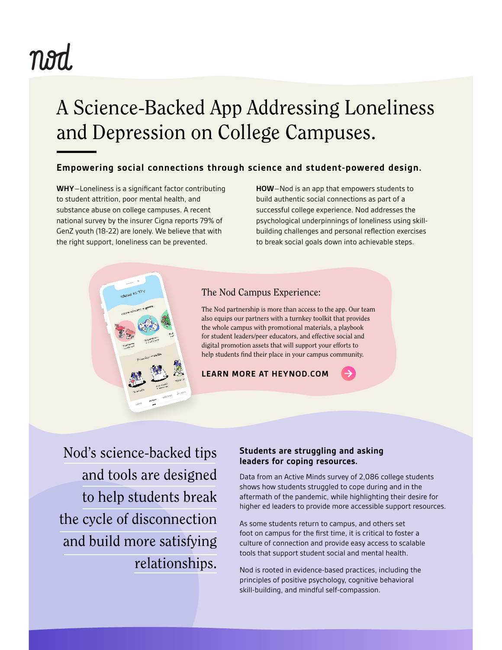# nod

## A Science-Backed App Addressing Loneliness and Depression on College Campuses.

## **Empowering social connections through science and student-powered design.**

**WHY**–Loneliness is a significant factor contributing to student attrition, poor mental health, and substance abuse on college campuses. A recent national survey by the insurer Cigna reports 79% of GenZ youth (18-22) are lonely. We believe that with the right support, loneliness can be prevented.

**HOW**–Nod is an app that empowers students to build authentic social connections as part of a successful college experience. Nod addresses the psychological underpinnings of loneliness using skillbuilding challenges and personal reflection exercises to break social goals down into achievable steps.



## [The N](https://heynod.com/get-nod/nod-for-higher-education/)od Campus Experience:

The Nod partnership is more than access to the app. Our team also equips our partners with a turnkey toolkit that provides the whole campus with promotional materials, a playbook for student leaders/peer educators, and effective social and digital promotion assets that will support your efforts to help students find their place in your campus community.

### **LEARN MORE AT HEYNOD.COM**

Nod's science-backed tips and tools are designed to help students break the cycle of disconnection and build more satisfying relationships.

### **Students are struggling and asking leaders for coping resources.**

Data from an Active Minds survey of 2,086 college students shows how students struggled to cope during and in the aftermath of the pandemic, while highlighting their desire for higher ed leaders to provide more accessible support resources.

As some students return to campus, and others set foot on campus for the first time, it is critical to foster a culture of connection and provide easy access to scalable tools that support student social and mental health.

Nod is rooted in evidence-based practices, including the principles of positive psychology, cognitive behavioral skill-building, and mindful self-compassion.